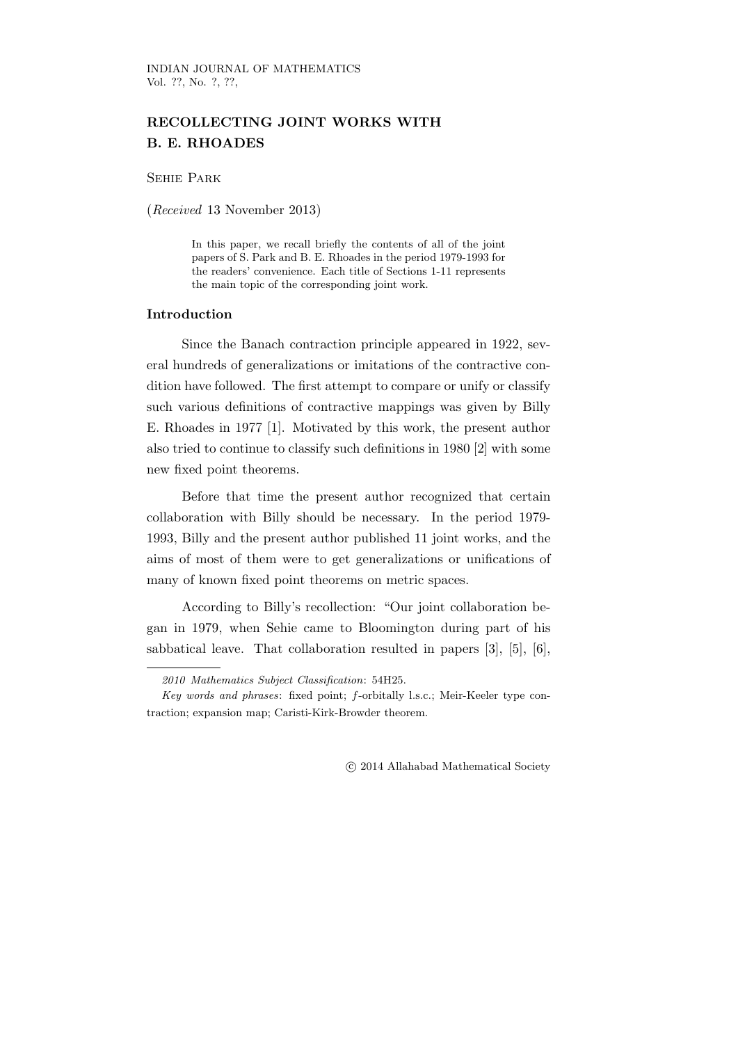# RECOLLECTING JOINT WORKS WITH B. E. RHOADES

Sehie Park

(Received 13 November 2013)

In this paper, we recall briefly the contents of all of the joint papers of S. Park and B. E. Rhoades in the period 1979-1993 for the readers' convenience. Each title of Sections 1-11 represents the main topic of the corresponding joint work.

### Introduction

Since the Banach contraction principle appeared in 1922, several hundreds of generalizations or imitations of the contractive condition have followed. The first attempt to compare or unify or classify such various definitions of contractive mappings was given by Billy E. Rhoades in 1977 [1]. Motivated by this work, the present author also tried to continue to classify such definitions in 1980 [2] with some new fixed point theorems.

Before that time the present author recognized that certain collaboration with Billy should be necessary. In the period 1979- 1993, Billy and the present author published 11 joint works, and the aims of most of them were to get generalizations or unifications of many of known fixed point theorems on metric spaces.

According to Billy's recollection: "Our joint collaboration began in 1979, when Sehie came to Bloomington during part of his sabbatical leave. That collaboration resulted in papers [3], [5], [6],

c 2014 Allahabad Mathematical Society

<sup>2010</sup> Mathematics Subject Classification: 54H25.

Key words and phrases: fixed point; f-orbitally l.s.c.; Meir-Keeler type contraction; expansion map; Caristi-Kirk-Browder theorem.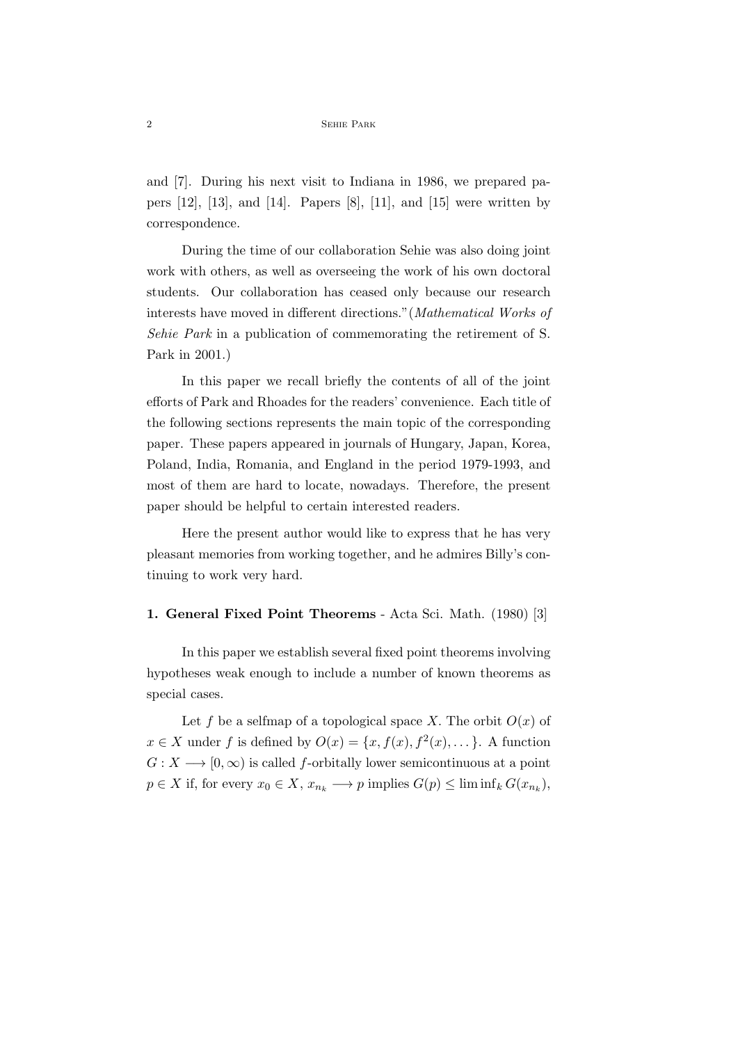and [7]. During his next visit to Indiana in 1986, we prepared papers  $[12]$ ,  $[13]$ , and  $[14]$ . Papers  $[8]$ ,  $[11]$ , and  $[15]$  were written by correspondence.

During the time of our collaboration Sehie was also doing joint work with others, as well as overseeing the work of his own doctoral students. Our collaboration has ceased only because our research interests have moved in different directions."(Mathematical Works of Sehie Park in a publication of commemorating the retirement of S. Park in 2001.)

In this paper we recall briefly the contents of all of the joint efforts of Park and Rhoades for the readers' convenience. Each title of the following sections represents the main topic of the corresponding paper. These papers appeared in journals of Hungary, Japan, Korea, Poland, India, Romania, and England in the period 1979-1993, and most of them are hard to locate, nowadays. Therefore, the present paper should be helpful to certain interested readers.

Here the present author would like to express that he has very pleasant memories from working together, and he admires Billy's continuing to work very hard.

#### 1. General Fixed Point Theorems - Acta Sci. Math. (1980) [3]

In this paper we establish several fixed point theorems involving hypotheses weak enough to include a number of known theorems as special cases.

Let f be a selfmap of a topological space X. The orbit  $O(x)$  of  $x \in X$  under f is defined by  $O(x) = \{x, f(x), f^2(x), \dots\}$ . A function  $G: X \longrightarrow [0, \infty)$  is called f-orbitally lower semicontinuous at a point  $p \in X$  if, for every  $x_0 \in X$ ,  $x_{n_k} \longrightarrow p$  implies  $G(p) \leq \liminf_k G(x_{n_k}),$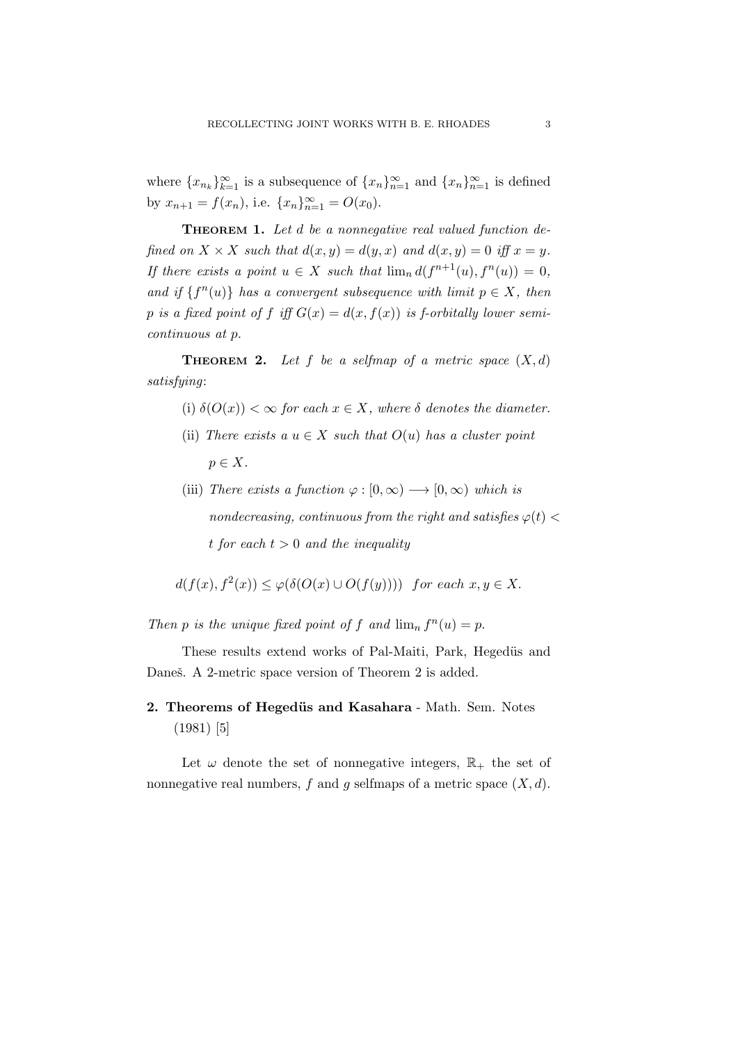where  ${x_{n_k}}_{k=1}^{\infty}$  is a subsequence of  ${x_n}_{n=1}^{\infty}$  and  ${x_n}_{n=1}^{\infty}$  is defined by  $x_{n+1} = f(x_n)$ , i.e.  $\{x_n\}_{n=1}^{\infty} = O(x_0)$ .

THEOREM 1. Let d be a nonnegative real valued function defined on  $X \times X$  such that  $d(x, y) = d(y, x)$  and  $d(x, y) = 0$  iff  $x = y$ . If there exists a point  $u \in X$  such that  $\lim_{n} d(f^{n+1}(u), f^{n}(u)) = 0$ , and if  $\{f^{n}(u)\}\$  has a convergent subsequence with limit  $p \in X$ , then p is a fixed point of f iff  $G(x) = d(x, f(x))$  is f-orbitally lower semicontinuous at p.

**THEOREM 2.** Let f be a selfmap of a metric space  $(X, d)$ satisfying:

- (i)  $\delta(O(x)) < \infty$  for each  $x \in X$ , where  $\delta$  denotes the diameter.
- (ii) There exists a  $u \in X$  such that  $O(u)$  has a cluster point  $p \in X$ .
- (iii) There exists a function  $\varphi : [0, \infty) \longrightarrow [0, \infty)$  which is nondecreasing, continuous from the right and satisfies  $\varphi(t)$  < t for each  $t > 0$  and the inequality

 $d(f(x), f^{2}(x)) \leq \varphi(\delta(O(x) \cup O(f(y))))$  for each  $x, y \in X$ .

Then p is the unique fixed point of f and  $\lim_{n} f^{n}(u) = p$ .

These results extend works of Pal-Maiti, Park, Hegedüs and Daneš. A 2-metric space version of Theorem 2 is added.

2. Theorems of Hegedüs and Kasahara - Math. Sem. Notes (1981) [5]

Let  $\omega$  denote the set of nonnegative integers,  $\mathbb{R}_+$  the set of nonnegative real numbers, f and q selfmaps of a metric space  $(X, d)$ .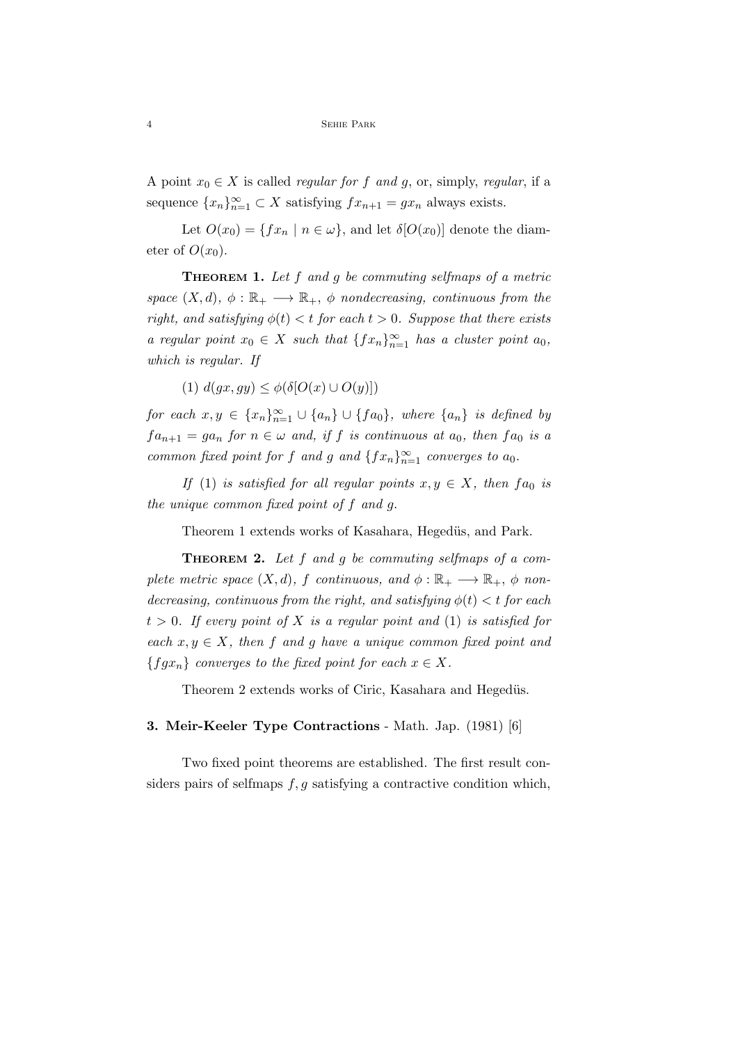A point  $x_0 \in X$  is called *regular for f and g*, or, simply, *regular*, if a sequence  ${x_n}_{n=1}^{\infty} \subset X$  satisfying  $fx_{n+1} = gx_n$  always exists.

Let  $O(x_0) = \{ fx_n \mid n \in \omega \}$ , and let  $\delta[O(x_0)]$  denote the diameter of  $O(x_0)$ .

**THEOREM 1.** Let  $f$  and  $g$  be commuting selfmaps of a metric space  $(X, d)$ ,  $\phi : \mathbb{R}_+ \longrightarrow \mathbb{R}_+$ ,  $\phi$  nondecreasing, continuous from the right, and satisfying  $\phi(t) < t$  for each  $t > 0$ . Suppose that there exists a regular point  $x_0 \in X$  such that  $\{fx_n\}_{n=1}^{\infty}$  has a cluster point  $a_0$ , which is regular. If

(1)  $d(qx, qy) \leq \phi(\delta[O(x) \cup O(y)])$ 

for each  $x, y \in \{x_n\}_{n=1}^{\infty} \cup \{a_n\} \cup \{fa_0\}$ , where  $\{a_n\}$  is defined by  $fa_{n+1} = ga_n$  for  $n \in \omega$  and, if f is continuous at  $a_0$ , then  $fa_0$  is a common fixed point for f and g and  $\{fx_n\}_{n=1}^{\infty}$  converges to  $a_0$ .

If (1) is satisfied for all regular points  $x, y \in X$ , then  $fa_0$  is the unique common fixed point of f and g.

Theorem 1 extends works of Kasahara, Hegedüs, and Park.

THEOREM 2. Let f and g be commuting selfmaps of a complete metric space  $(X, d)$ , f continuous, and  $\phi : \mathbb{R}_+ \longrightarrow \mathbb{R}_+$ ,  $\phi$  nondecreasing, continuous from the right, and satisfying  $\phi(t) < t$  for each  $t > 0$ . If every point of X is a regular point and (1) is satisfied for each  $x, y \in X$ , then f and g have a unique common fixed point and  ${fgx_n}$  converges to the fixed point for each  $x \in X$ .

Theorem 2 extends works of Ciric, Kasahara and Hegedüs.

### 3. Meir-Keeler Type Contractions - Math. Jap. (1981) [6]

Two fixed point theorems are established. The first result considers pairs of selfmaps  $f, g$  satisfying a contractive condition which,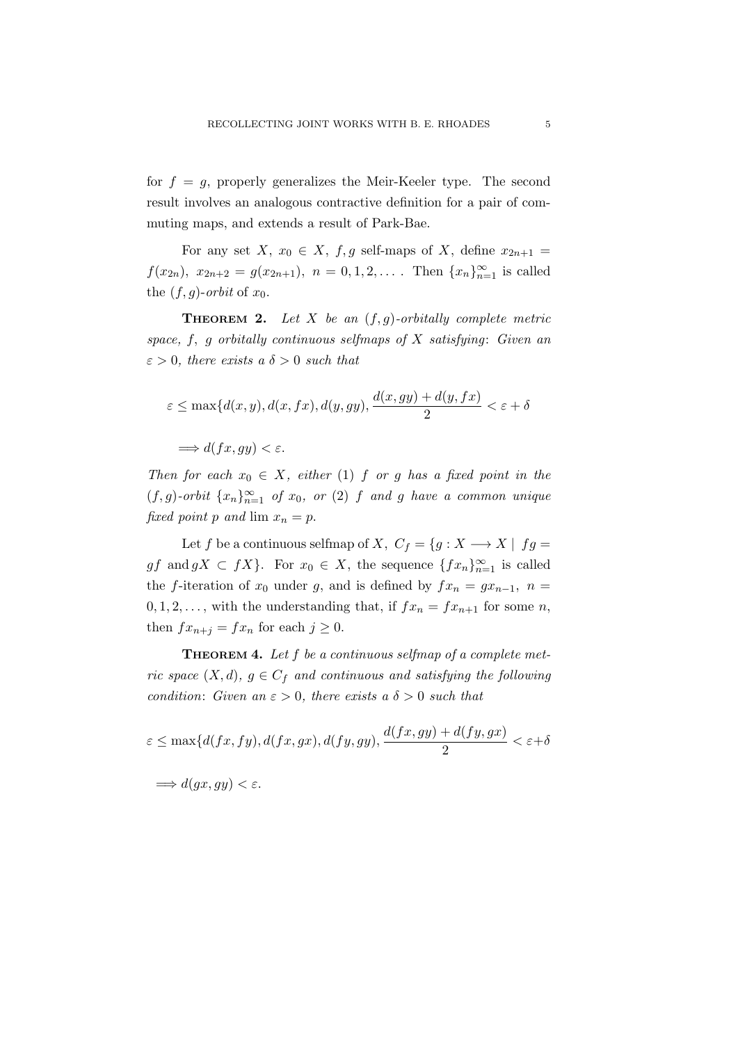for  $f = g$ , properly generalizes the Meir-Keeler type. The second result involves an analogous contractive definition for a pair of commuting maps, and extends a result of Park-Bae.

For any set X,  $x_0 \in X$ ,  $f, g$  self-maps of X, define  $x_{2n+1} =$  $f(x_{2n}), x_{2n+2} = g(x_{2n+1}), n = 0, 1, 2, \ldots$  Then  $\{x_n\}_{n=1}^{\infty}$  is called the  $(f, g)$ -orbit of  $x_0$ .

**THEOREM 2.** Let X be an  $(f, g)$ -orbitally complete metric space,  $f$ ,  $g$  orbitally continuous selfmaps of  $X$  satisfying: Given an  $\varepsilon > 0$ , there exists a  $\delta > 0$  such that

$$
\varepsilon \le \max\{d(x,y), d(x,fx), d(y,gy), \frac{d(x,gy) + d(y,fx)}{2} < \varepsilon + \delta
$$

 $\implies d(fx, qy) < \varepsilon.$ 

Then for each  $x_0 \in X$ , either (1) f or g has a fixed point in the  $(f,g)$ -orbit  $\{x_n\}_{n=1}^{\infty}$  of  $x_0$ , or  $(2)$  f and g have a common unique fixed point p and  $\lim x_n = p$ .

Let f be a continuous selfmap of X,  $C_f = \{g : X \longrightarrow X \mid fg =$  $gf$  and  $gX \subset fX$ . For  $x_0 \in X$ , the sequence  $\{fx_n\}_{n=1}^{\infty}$  is called the f-iteration of  $x_0$  under g, and is defined by  $fx_n = gx_{n-1}$ ,  $n =$  $0, 1, 2, \ldots$ , with the understanding that, if  $fx_n = fx_{n+1}$  for some n, then  $fx_{n+j} = fx_n$  for each  $j \geq 0$ .

**THEOREM 4.** Let  $f$  be a continuous selfmap of a complete metric space  $(X, d)$ ,  $g \in C_f$  and continuous and satisfying the following condition: Given an  $\varepsilon > 0$ , there exists a  $\delta > 0$  such that

$$
\varepsilon \le \max\{d(fx, fy), d(fx, gx), d(fy, gy), \frac{d(fx, gy) + d(fy, gx)}{2} < \varepsilon + \delta
$$

$$
\implies d(gx, gy) < \varepsilon.
$$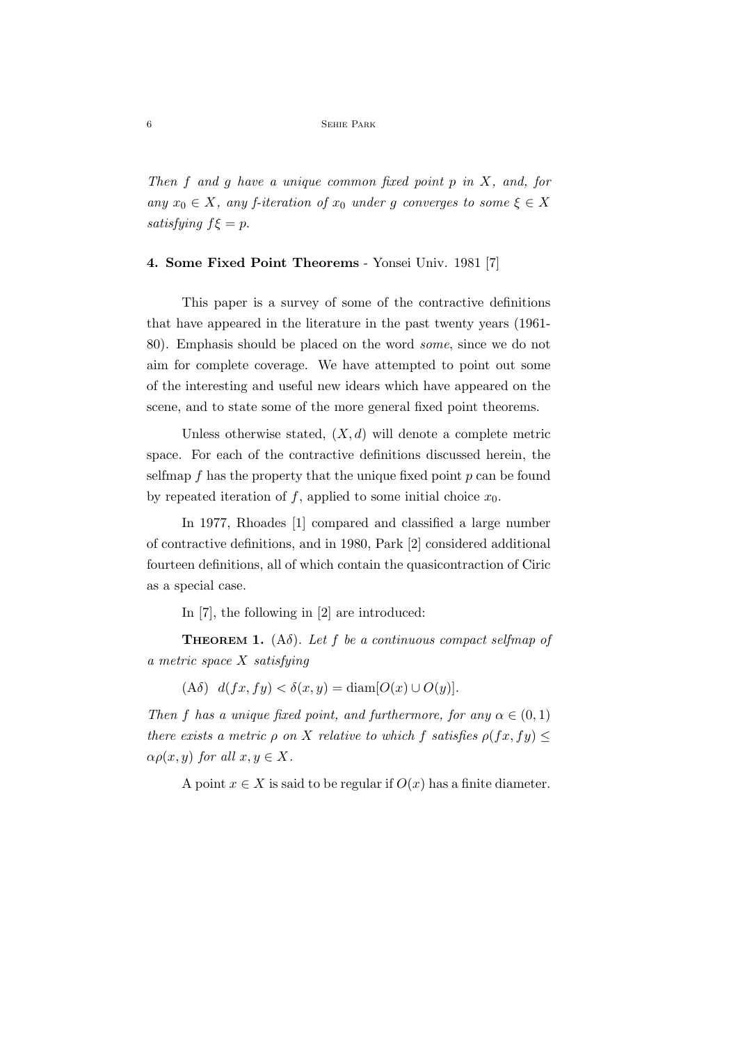#### 6 Sehie Park

Then  $f$  and  $g$  have a unique common fixed point  $p$  in  $X$ , and, for any  $x_0 \in X$ , any f-iteration of  $x_0$  under g converges to some  $\xi \in X$ satisfying  $f\xi = p$ .

#### 4. Some Fixed Point Theorems - Yonsei Univ. 1981 [7]

This paper is a survey of some of the contractive definitions that have appeared in the literature in the past twenty years (1961- 80). Emphasis should be placed on the word some, since we do not aim for complete coverage. We have attempted to point out some of the interesting and useful new idears which have appeared on the scene, and to state some of the more general fixed point theorems.

Unless otherwise stated,  $(X, d)$  will denote a complete metric space. For each of the contractive definitions discussed herein, the selfmap  $f$  has the property that the unique fixed point  $p$  can be found by repeated iteration of f, applied to some initial choice  $x_0$ .

In 1977, Rhoades [1] compared and classified a large number of contractive definitions, and in 1980, Park [2] considered additional fourteen definitions, all of which contain the quasicontraction of Ciric as a special case.

In [7], the following in [2] are introduced:

**THEOREM 1.** (A $\delta$ ). Let f be a continuous compact selfmap of a metric space X satisfying

(A $\delta$ )  $d(fx, fy) < \delta(x, y) = \text{diam}[O(x) \cup O(y)].$ 

Then f has a unique fixed point, and furthermore, for any  $\alpha \in (0,1)$ there exists a metric  $\rho$  on X relative to which f satisfies  $\rho(fx, fy) \leq$  $\alpha \rho(x, y)$  for all  $x, y \in X$ .

A point  $x \in X$  is said to be regular if  $O(x)$  has a finite diameter.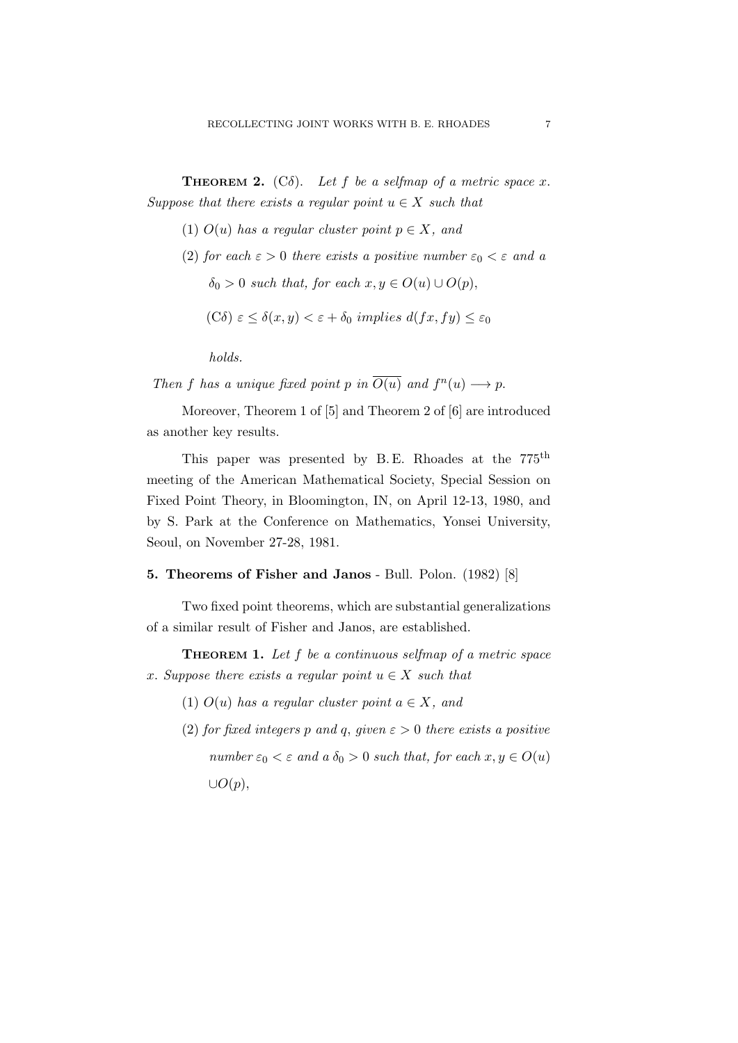**THEOREM 2.** (C $\delta$ ). Let f be a selfmap of a metric space x. Suppose that there exists a regular point  $u \in X$  such that

- (1)  $O(u)$  has a regular cluster point  $p \in X$ , and
- (2) for each  $\varepsilon > 0$  there exists a positive number  $\varepsilon_0 < \varepsilon$  and a  $\delta_0 > 0$  such that, for each  $x, y \in O(u) \cup O(p)$ ,
	- (C $\delta$ )  $\varepsilon \leq \delta(x, y) < \varepsilon + \delta_0$  implies  $d(fx, fy) \leq \varepsilon_0$

holds.

Then f has a unique fixed point p in  $\overline{O(u)}$  and  $f^n(u) \longrightarrow p$ .

Moreover, Theorem 1 of [5] and Theorem 2 of [6] are introduced as another key results.

This paper was presented by B.E. Rhoades at the 775<sup>th</sup> meeting of the American Mathematical Society, Special Session on Fixed Point Theory, in Bloomington, IN, on April 12-13, 1980, and by S. Park at the Conference on Mathematics, Yonsei University, Seoul, on November 27-28, 1981.

### 5. Theorems of Fisher and Janos - Bull. Polon. (1982) [8]

Two fixed point theorems, which are substantial generalizations of a similar result of Fisher and Janos, are established.

**THEOREM 1.** Let  $f$  be a continuous selfmap of a metric space x. Suppose there exists a regular point  $u \in X$  such that

- (1)  $O(u)$  has a regular cluster point  $a \in X$ , and
- (2) for fixed integers p and q, given  $\varepsilon > 0$  there exists a positive number  $\varepsilon_0 < \varepsilon$  and  $a \, \delta_0 > 0$  such that, for each  $x, y \in O(u)$  $\cup O(p),$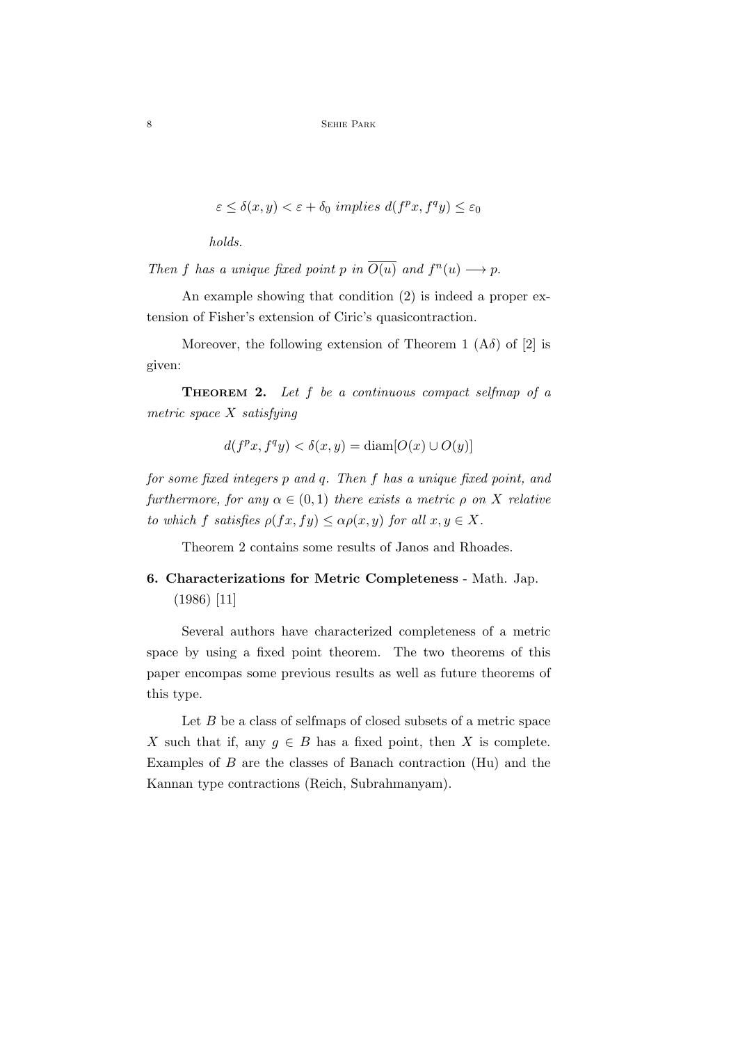$$
\varepsilon \le \delta(x, y) < \varepsilon + \delta_0 \implies d(f^p x, f^q y) \le \varepsilon_0
$$

holds.

Then f has a unique fixed point p in  $\overline{O(u)}$  and  $f^n(u) \longrightarrow p$ .

An example showing that condition (2) is indeed a proper extension of Fisher's extension of Ciric's quasicontraction.

Moreover, the following extension of Theorem 1  $(A\delta)$  of [2] is given:

THEOREM 2. Let f be a continuous compact selfmap of a metric space X satisfying

$$
d(f^{p}x, f^{q}y) < \delta(x, y) = \text{diam}[O(x) \cup O(y)]
$$

for some fixed integers p and q. Then f has a unique fixed point, and furthermore, for any  $\alpha \in (0,1)$  there exists a metric  $\rho$  on X relative to which f satisfies  $\rho(fx, fy) \leq \alpha \rho(x, y)$  for all  $x, y \in X$ .

Theorem 2 contains some results of Janos and Rhoades.

# 6. Characterizations for Metric Completeness - Math. Jap. (1986) [11]

Several authors have characterized completeness of a metric space by using a fixed point theorem. The two theorems of this paper encompas some previous results as well as future theorems of this type.

Let  $B$  be a class of selfmaps of closed subsets of a metric space X such that if, any  $g \in B$  has a fixed point, then X is complete. Examples of  $B$  are the classes of Banach contraction (Hu) and the Kannan type contractions (Reich, Subrahmanyam).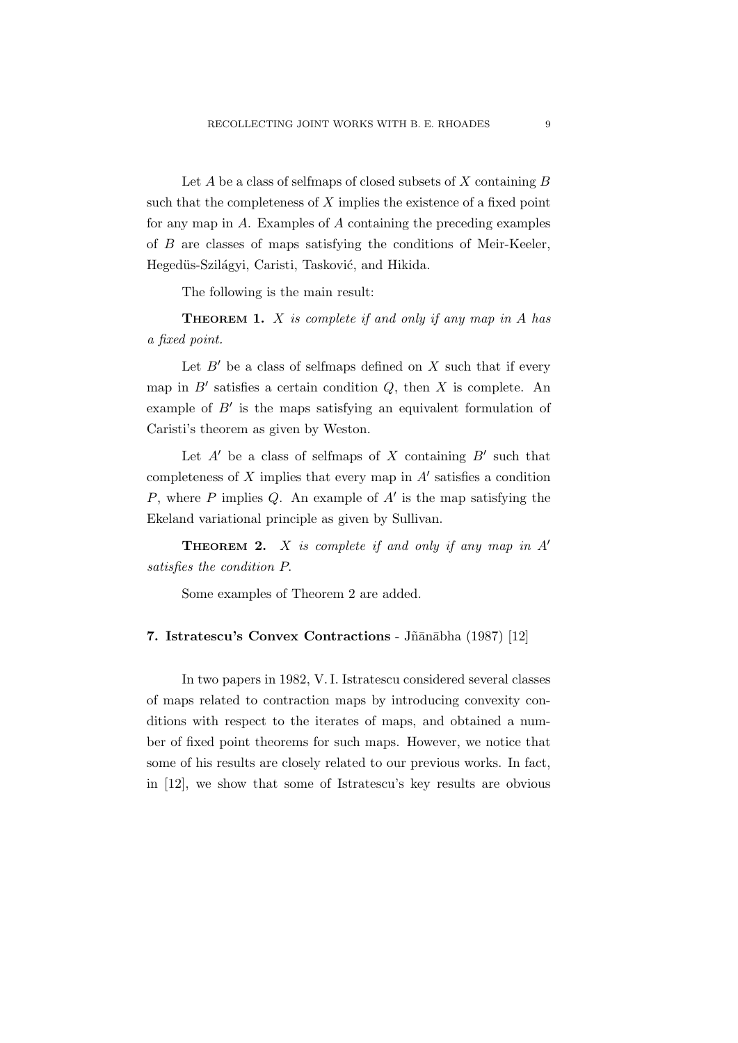Let  $A$  be a class of selfmaps of closed subsets of  $X$  containing  $B$ such that the completeness of  $X$  implies the existence of a fixed point for any map in A. Examples of A containing the preceding examples of B are classes of maps satisfying the conditions of Meir-Keeler, Hegedüs-Szilágyi, Caristi, Tasković, and Hikida.

The following is the main result:

**THEOREM 1.**  $X$  is complete if and only if any map in  $A$  has a fixed point.

Let  $B'$  be a class of selfmaps defined on X such that if every map in  $B'$  satisfies a certain condition  $Q$ , then  $X$  is complete. An example of  $B'$  is the maps satisfying an equivalent formulation of Caristi's theorem as given by Weston.

Let  $A'$  be a class of selfmaps of X containing  $B'$  such that completeness of  $X$  implies that every map in  $A'$  satisfies a condition P, where P implies Q. An example of  $A'$  is the map satisfying the Ekeland variational principle as given by Sullivan.

**THEOREM 2.**  $X$  is complete if and only if any map in  $A'$ satisfies the condition P.

Some examples of Theorem 2 are added.

### 7. Istratescu's Convex Contractions - Jñānābha (1987) [12]

In two papers in 1982, V. I. Istratescu considered several classes of maps related to contraction maps by introducing convexity conditions with respect to the iterates of maps, and obtained a number of fixed point theorems for such maps. However, we notice that some of his results are closely related to our previous works. In fact, in [12], we show that some of Istratescu's key results are obvious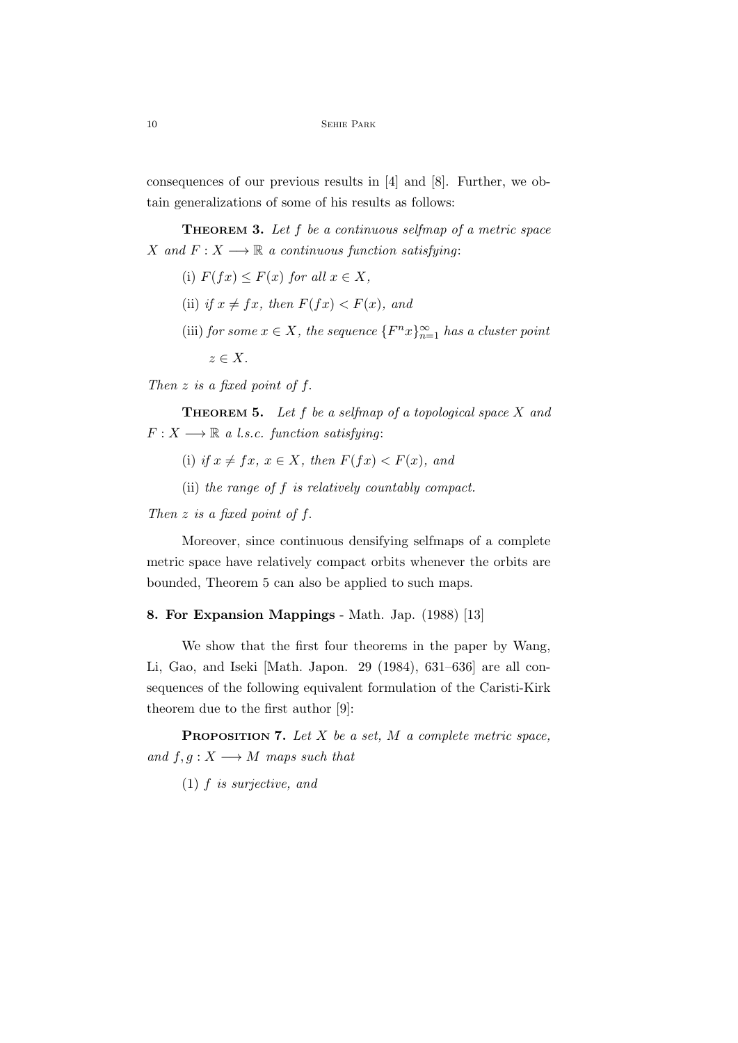consequences of our previous results in [4] and [8]. Further, we obtain generalizations of some of his results as follows:

**THEOREM 3.** Let  $f$  be a continuous selfmap of a metric space X and  $F: X \longrightarrow \mathbb{R}$  a continuous function satisfying:

- (i)  $F(fx) \leq F(x)$  for all  $x \in X$ ,
- (ii) if  $x \neq fx$ , then  $F(fx) < F(x)$ , and
- (iii) for some  $x \in X$ , the sequence  $\{F^n x\}_{n=1}^{\infty}$  has a cluster point  $z \in X$ .

Then  $z$  is a fixed point of  $f$ .

**THEOREM 5.** Let  $f$  be a selfmap of a topological space  $X$  and  $F: X \longrightarrow \mathbb{R}$  a l.s.c. function satisfying:

- (i) if  $x \neq fx, x \in X$ , then  $F(fx) < F(x)$ , and
- (ii) the range of f is relatively countably compact.

### Then  $z$  is a fixed point of  $f$ .

Moreover, since continuous densifying selfmaps of a complete metric space have relatively compact orbits whenever the orbits are bounded, Theorem 5 can also be applied to such maps.

#### 8. For Expansion Mappings - Math. Jap. (1988) [13]

We show that the first four theorems in the paper by Wang, Li, Gao, and Iseki [Math. Japon. 29 (1984), 631–636] are all consequences of the following equivalent formulation of the Caristi-Kirk theorem due to the first author [9]:

**PROPOSITION 7.** Let  $X$  be a set,  $M$  a complete metric space, and  $f, g: X \longrightarrow M$  maps such that

(1) f is surjective, and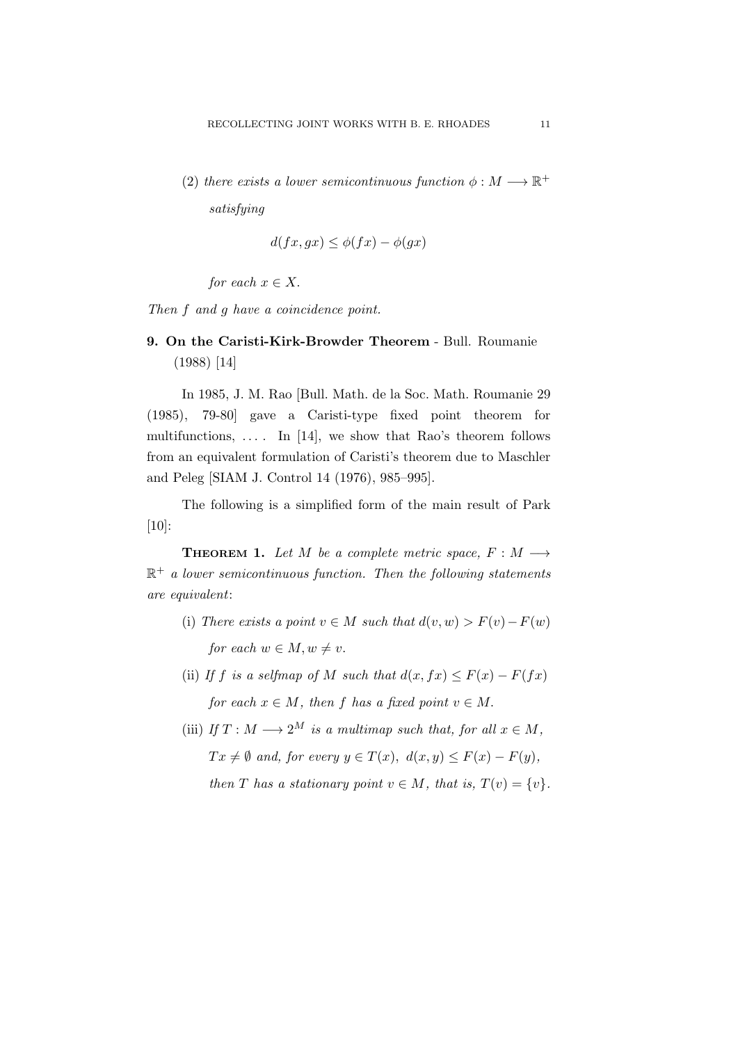(2) there exists a lower semicontinuous function  $\phi : M \longrightarrow \mathbb{R}^+$ satisfying

$$
d(fx, gx) \le \phi(fx) - \phi(gx)
$$

for each  $x \in X$ .

Then f and g have a coincidence point.

## 9. On the Caristi-Kirk-Browder Theorem - Bull. Roumanie (1988) [14]

In 1985, J. M. Rao [Bull. Math. de la Soc. Math. Roumanie 29 (1985), 79-80] gave a Caristi-type fixed point theorem for multifunctions,  $\dots$  In [14], we show that Rao's theorem follows from an equivalent formulation of Caristi's theorem due to Maschler and Peleg [SIAM J. Control 14 (1976), 985–995].

The following is a simplified form of the main result of Park [10]:

**THEOREM 1.** Let M be a complete metric space,  $F : M \longrightarrow$  $\mathbb{R}^+$  a lower semicontinuous function. Then the following statements are equivalent:

- (i) There exists a point  $v \in M$  such that  $d(v, w) > F(v) F(w)$ for each  $w \in M, w \neq v$ .
- (ii) If f is a selfmap of M such that  $d(x, fx) \leq F(x) F(fx)$ for each  $x \in M$ , then f has a fixed point  $v \in M$ .
- (iii) If  $T : M \longrightarrow 2^M$  is a multimap such that, for all  $x \in M$ ,  $Tx \neq \emptyset$  and, for every  $y \in T(x)$ ,  $d(x, y) \leq F(x) - F(y)$ , then T has a stationary point  $v \in M$ , that is,  $T(v) = \{v\}$ .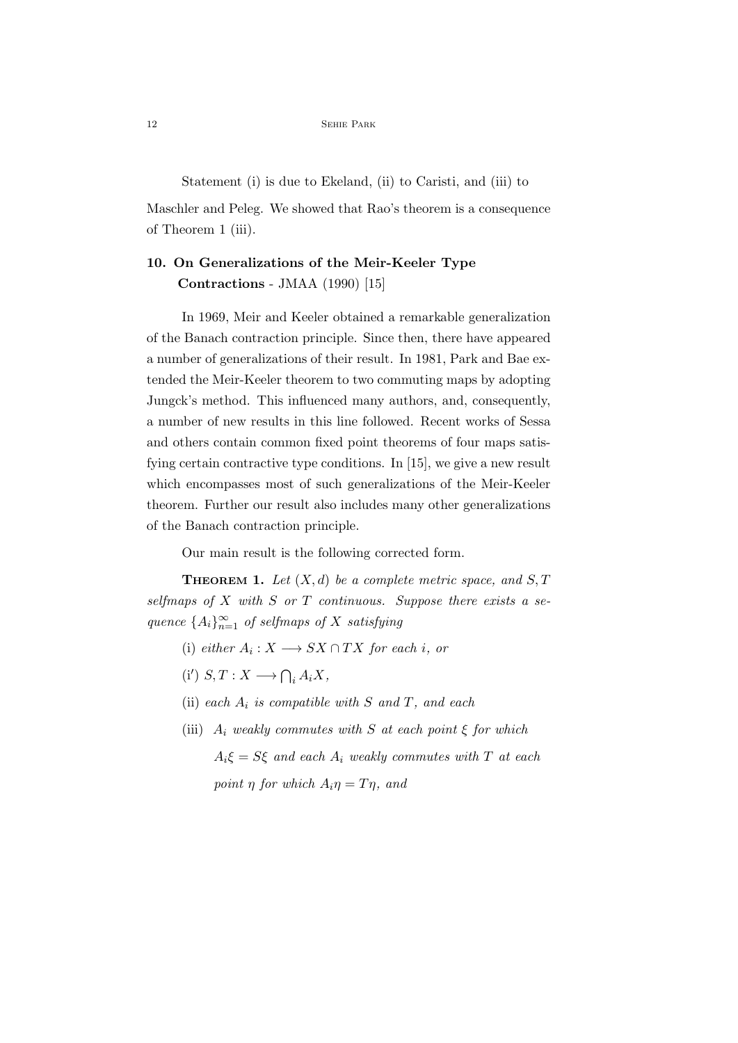Statement (i) is due to Ekeland, (ii) to Caristi, and (iii) to

Maschler and Peleg. We showed that Rao's theorem is a consequence of Theorem 1 (iii).

## 10. On Generalizations of the Meir-Keeler Type Contractions - JMAA (1990) [15]

In 1969, Meir and Keeler obtained a remarkable generalization of the Banach contraction principle. Since then, there have appeared a number of generalizations of their result. In 1981, Park and Bae extended the Meir-Keeler theorem to two commuting maps by adopting Jungck's method. This influenced many authors, and, consequently, a number of new results in this line followed. Recent works of Sessa and others contain common fixed point theorems of four maps satisfying certain contractive type conditions. In [15], we give a new result which encompasses most of such generalizations of the Meir-Keeler theorem. Further our result also includes many other generalizations of the Banach contraction principle.

Our main result is the following corrected form.

**THEOREM 1.** Let  $(X, d)$  be a complete metric space, and S, T selfmaps of  $X$  with  $S$  or  $T$  continuous. Suppose there exists a sequence  ${A_i}_{n=1}^{\infty}$  of selfmaps of X satisfying

- (i) either  $A_i: X \longrightarrow SX \cap TX$  for each i, or
- (i')  $S, T: X \longrightarrow \bigcap_i A_i X,$
- (ii) each  $A_i$  is compatible with S and T, and each
- (iii)  $A_i$  weakly commutes with S at each point  $\xi$  for which  $A_i \xi = S \xi$  and each  $A_i$  weakly commutes with T at each point  $\eta$  for which  $A_i \eta = T \eta$ , and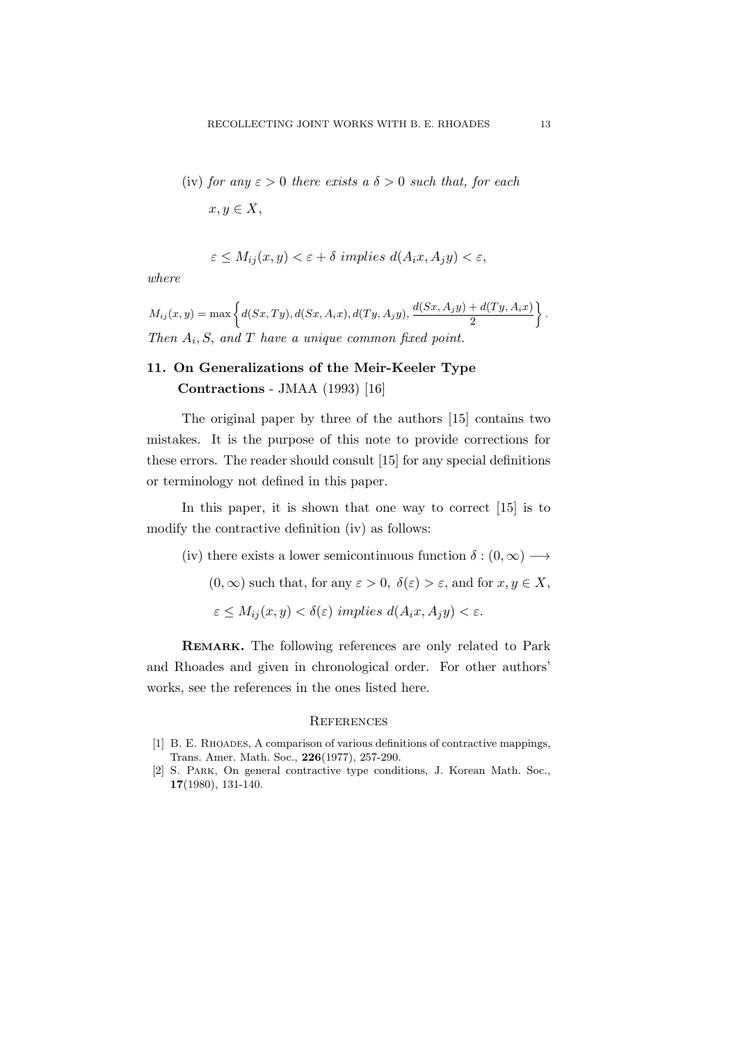(iv) for any 
$$
\varepsilon > 0
$$
 there exists a  $\delta > 0$  such that, for each  $x, y \in X$ ,

$$
\varepsilon \le M_{ij}(x, y) < \varepsilon + \delta \ implies \ d(A_i x, A_j y) < \varepsilon,
$$

where

 $M_{ij}(x, y) = \max \left\{ d(Sx, Ty), d(Sx, A_i x), d(Ty, A_j y), \frac{d(Sx, A_j y) + d(Ty, A_i x)}{2} \right\}$ 2  $\big\}$ . Then  $A_i$ , S, and T have a unique common fixed point.

### 11. On Generalizations of the Meir-Keeler Type Contractions - JMAA (1993) [16]

The original paper by three of the authors [15] contains two mistakes. It is the purpose of this note to provide corrections for these errors. The reader should consult [15] for any special definitions or terminology not defined in this paper.

In this paper, it is shown that one way to correct [15] is to modify the contractive definition (iv) as follows:

(iv) there exists a lower semicontinuous function  $\delta : (0, \infty) \longrightarrow$  $(0, \infty)$  such that, for any  $\varepsilon > 0$ ,  $\delta(\varepsilon) > \varepsilon$ , and for  $x, y \in X$ ,  $\varepsilon \leq M_{ij}(x, y) < \delta(\varepsilon)$  implies  $d(A_i x, A_j y) < \varepsilon$ .

REMARK. The following references are only related to Park and Rhoades and given in chronological order. For other authors' works, see the references in the ones listed here.

#### **REFERENCES**

- [1] B. E. Rhoades, A comparison of various definitions of contractive mappings, Trans. Amer. Math. Soc., 226(1977), 257-290.
- [2] S. Park, On general contractive type conditions, J. Korean Math. Soc., 17(1980), 131-140.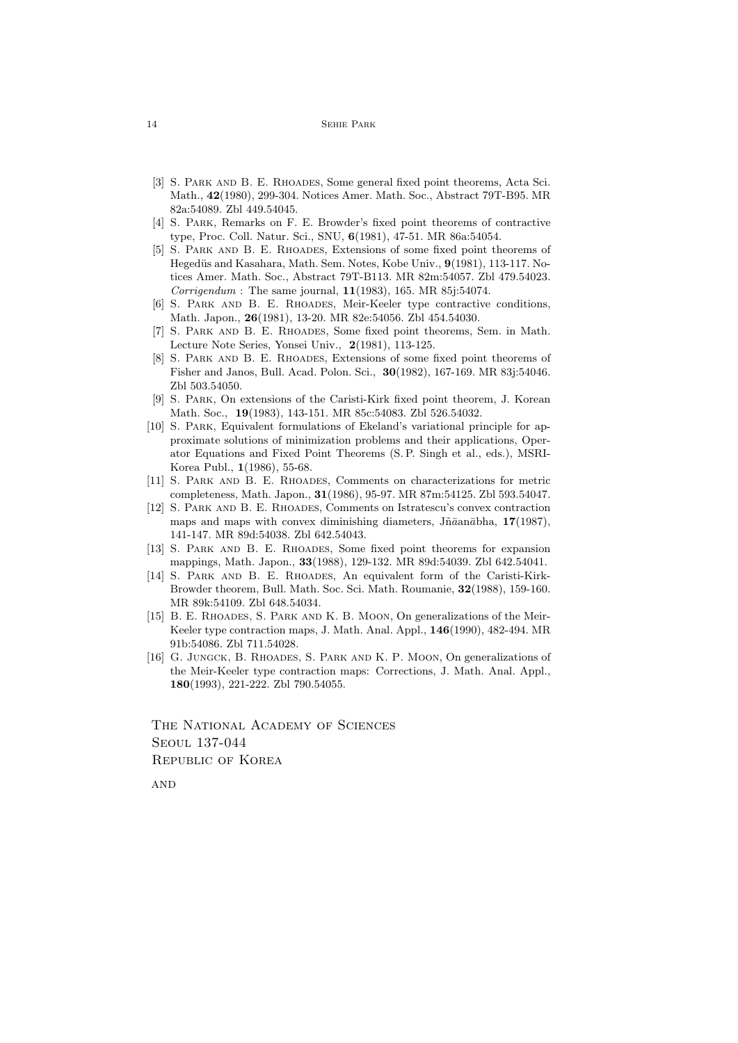#### 14 Sehie Park

- [3] S. PARK AND B. E. RHOADES, Some general fixed point theorems, Acta Sci. Math., 42(1980), 299-304. Notices Amer. Math. Soc., Abstract 79T-B95. MR 82a:54089. Zbl 449.54045.
- [4] S. Park, Remarks on F. E. Browder's fixed point theorems of contractive type, Proc. Coll. Natur. Sci., SNU, 6(1981), 47-51. MR 86a:54054.
- [5] S. Park and B. E. Rhoades, Extensions of some fixed point theorems of Hegedüs and Kasahara, Math. Sem. Notes, Kobe Univ., 9(1981), 113-117. Notices Amer. Math. Soc., Abstract 79T-B113. MR 82m:54057. Zbl 479.54023. *Corrigendum* : The same journal,  $11(1983)$ , 165. MR 85j:54074.
- [6] S. PARK AND B. E. RHOADES, Meir-Keeler type contractive conditions, Math. Japon., 26(1981), 13-20. MR 82e:54056. Zbl 454.54030.
- [7] S. Park and B. E. Rhoades, Some fixed point theorems, Sem. in Math. Lecture Note Series, Yonsei Univ., 2(1981), 113-125.
- [8] S. PARK AND B. E. RHOADES, Extensions of some fixed point theorems of Fisher and Janos, Bull. Acad. Polon. Sci., 30(1982), 167-169. MR 83j:54046. Zbl 503.54050.
- [9] S. Park, On extensions of the Caristi-Kirk fixed point theorem, J. Korean Math. Soc., 19(1983), 143-151. MR 85c:54083. Zbl 526.54032.
- [10] S. PARK, Equivalent formulations of Ekeland's variational principle for approximate solutions of minimization problems and their applications, Operator Equations and Fixed Point Theorems (S. P. Singh et al., eds.), MSRI-Korea Publ., 1(1986), 55-68.
- [11] S. PARK AND B. E. RHOADES, Comments on characterizations for metric completeness, Math. Japon., 31(1986), 95-97. MR 87m:54125. Zbl 593.54047.
- [12] S. Park and B. E. Rhoades, Comments on Istratescu's convex contraction maps and maps with convex diminishing diameters,  $J\tilde{n}\bar{a}$ an $\bar{a}$ bha, 17(1987), 141-147. MR 89d:54038. Zbl 642.54043.
- [13] S. PARK AND B. E. RHOADES, Some fixed point theorems for expansion mappings, Math. Japon., 33(1988), 129-132. MR 89d:54039. Zbl 642.54041.
- [14] S. PARK AND B. E. RHOADES, An equivalent form of the Caristi-Kirk-Browder theorem, Bull. Math. Soc. Sci. Math. Roumanie, 32(1988), 159-160. MR 89k:54109. Zbl 648.54034.
- [15] B. E. RHOADES, S. PARK AND K. B. MOON, On generalizations of the Meir-Keeler type contraction maps, J. Math. Anal. Appl., 146(1990), 482-494. MR 91b:54086. Zbl 711.54028.
- [16] G. JUNGCK, B. RHOADES, S. PARK AND K. P. MOON, On generalizations of the Meir-Keeler type contraction maps: Corrections, J. Math. Anal. Appl., 180(1993), 221-222. Zbl 790.54055.

THE NATIONAL ACADEMY OF SCIENCES Seoul 137-044 Republic of Korea

**AND**